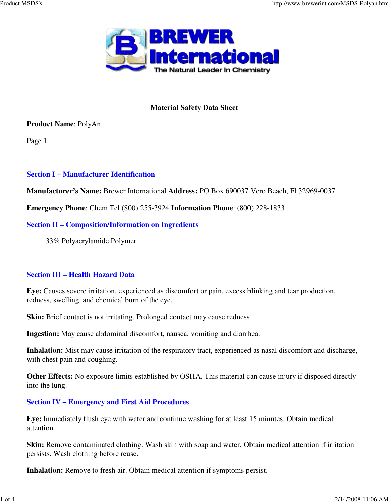

## **Material Safety Data Sheet**

### **Product Name**: PolyAn

Page 1

# **Section I – Manufacturer Identification**

**Manufacturer's Name:** Brewer International **Address:** PO Box 690037 Vero Beach, Fl 32969-0037

**Emergency Phone**: Chem Tel (800) 255-3924 **Information Phone**: (800) 228-1833

## **Section II – Composition/Information on Ingredients**

33% Polyacrylamide Polymer

# **Section III – Health Hazard Data**

**Eye:** Causes severe irritation, experienced as discomfort or pain, excess blinking and tear production, redness, swelling, and chemical burn of the eye.

**Skin:** Brief contact is not irritating. Prolonged contact may cause redness.

**Ingestion:** May cause abdominal discomfort, nausea, vomiting and diarrhea.

**Inhalation:** Mist may cause irritation of the respiratory tract, experienced as nasal discomfort and discharge, with chest pain and coughing.

**Other Effects:** No exposure limits established by OSHA. This material can cause injury if disposed directly into the lung.

# **Section IV – Emergency and First Aid Procedures**

**Eye:** Immediately flush eye with water and continue washing for at least 15 minutes. Obtain medical attention.

**Skin:** Remove contaminated clothing. Wash skin with soap and water. Obtain medical attention if irritation persists. Wash clothing before reuse.

**Inhalation:** Remove to fresh air. Obtain medical attention if symptoms persist.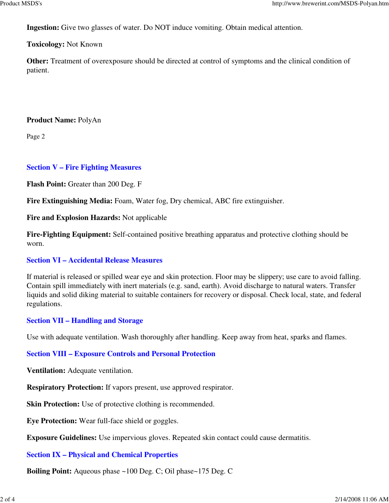**Ingestion:** Give two glasses of water. Do NOT induce vomiting. Obtain medical attention.

#### **Toxicology:** Not Known

**Other:** Treatment of overexposure should be directed at control of symptoms and the clinical condition of patient.

#### **Product Name:** PolyAn

Page 2

### **Section V – Fire Fighting Measures**

**Flash Point:** Greater than 200 Deg. F

**Fire Extinguishing Media:** Foam, Water fog, Dry chemical, ABC fire extinguisher.

**Fire and Explosion Hazards:** Not applicable

**Fire-Fighting Equipment:** Self-contained positive breathing apparatus and protective clothing should be worn.

### **Section VI – Accidental Release Measures**

If material is released or spilled wear eye and skin protection. Floor may be slippery; use care to avoid falling. Contain spill immediately with inert materials (e.g. sand, earth). Avoid discharge to natural waters. Transfer liquids and solid diking material to suitable containers for recovery or disposal. Check local, state, and federal regulations.

### **Section VII – Handling and Storage**

Use with adequate ventilation. Wash thoroughly after handling. Keep away from heat, sparks and flames.

### **Section VIII – Exposure Controls and Personal Protection**

**Ventilation:** Adequate ventilation.

**Respiratory Protection:** If vapors present, use approved respirator.

**Skin Protection:** Use of protective clothing is recommended.

**Eye Protection:** Wear full-face shield or goggles.

**Exposure Guidelines:** Use impervious gloves. Repeated skin contact could cause dermatitis.

### **Section IX – Physical and Chemical Properties**

**Boiling Point:** Aqueous phase ~100 Deg. C; Oil phase~175 Deg. C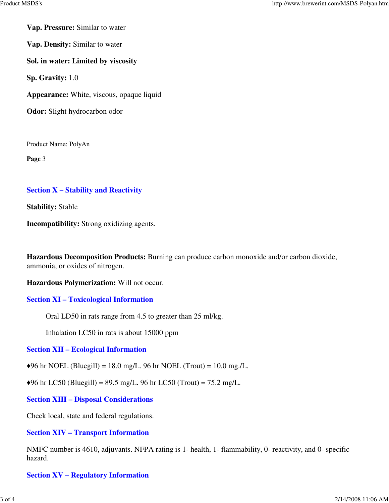**Vap. Pressure:** Similar to water

**Vap. Density:** Similar to water

**Sol. in water: Limited by viscosity**

**Sp. Gravity:** 1.0

**Appearance:** White, viscous, opaque liquid

**Odor:** Slight hydrocarbon odor

Product Name: PolyAn

**Page** 3

#### **Section X – Stability and Reactivity**

**Stability:** Stable

**Incompatibility:** Strong oxidizing agents.

**Hazardous Decomposition Products:** Burning can produce carbon monoxide and/or carbon dioxide, ammonia, or oxides of nitrogen.

**Hazardous Polymerization:** Will not occur.

#### **Section XI – Toxicological Information**

Oral LD50 in rats range from 4.5 to greater than 25 ml/kg.

Inhalation LC50 in rats is about 15000 ppm

**Section XII – Ecological Information**

 $\blacklozenge$ 96 hr NOEL (Bluegill) = 18.0 mg/L. 96 hr NOEL (Trout) = 10.0 mg./L.

 $\triangle$ 96 hr LC50 (Bluegill) = 89.5 mg/L. 96 hr LC50 (Trout) = 75.2 mg/L.

**Section XIII – Disposal Considerations**

Check local, state and federal regulations.

#### **Section XIV – Transport Information**

NMFC number is 4610, adjuvants. NFPA rating is 1- health, 1- flammability, 0- reactivity, and 0- specific hazard.

### **Section XV – Regulatory Information**